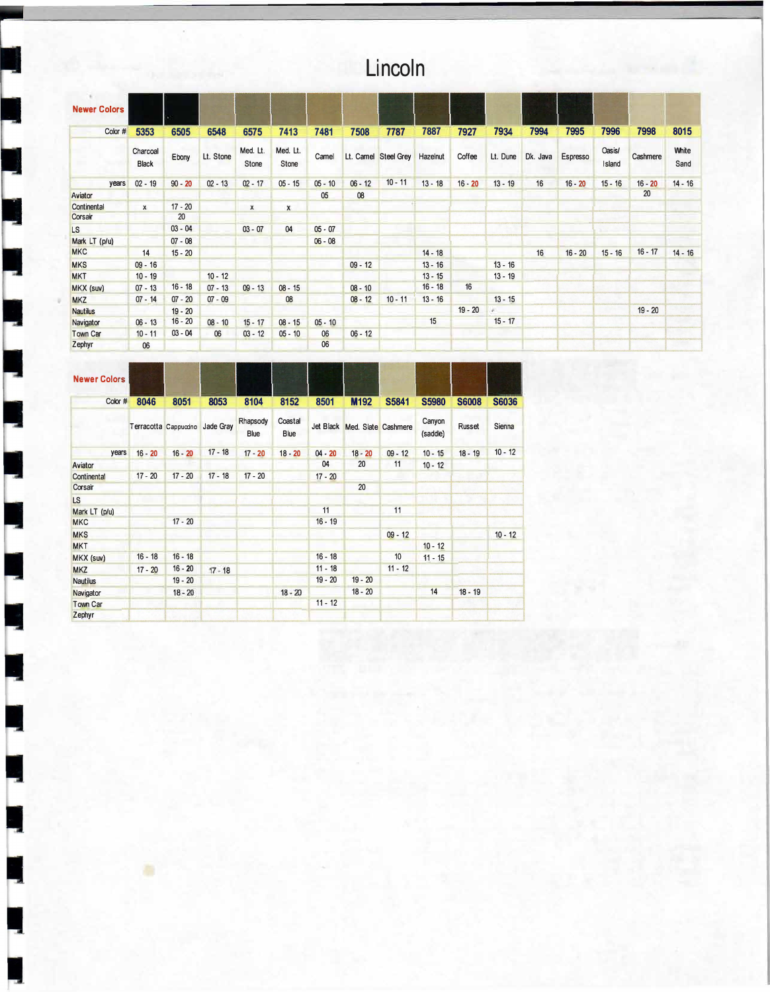## **Lincoln**

| <b>Newer Colors</b> |                          |           |           |                   |                   |           |           |                      |           |           |           |          |           |                  |           |               |
|---------------------|--------------------------|-----------|-----------|-------------------|-------------------|-----------|-----------|----------------------|-----------|-----------|-----------|----------|-----------|------------------|-----------|---------------|
| Color #             | 5353                     | 6505      | 6548      | 6575              | 7413              | 7481      | 7508      | 7787                 | 7887      | 7927      | 7934      | 7994     | 7995      | 7996             | 7998      | 8015          |
|                     | Charcoal<br><b>Black</b> | Ebony     | Lt. Stone | Med. Lt.<br>Stone | Med. Lt.<br>Stone | Camel     |           | Lt. Camel Steel Grey | Hazelnut  | Coffee    | Lt. Dune  | Dk. Java | Espresso  | Oasis/<br>Island | Cashmere  | White<br>Sand |
| years               | $02 - 19$                | $90 - 20$ | $02 - 13$ | $02 - 17$         | $05 - 15$         | $05 - 10$ | $06 - 12$ | $10 - 11$            | $13 - 18$ | $16 - 20$ | $13 - 19$ | 16       | $16 - 20$ | $15 - 16$        | $16 - 20$ | $14 - 16$     |
| Aviator             |                          |           |           |                   |                   | 05        | 08        |                      |           |           |           |          |           |                  | 20        |               |
| Continental         | $\mathsf{x}$             | $17 - 20$ |           | $\mathsf{x}$      | x                 |           |           |                      |           |           |           |          |           |                  |           |               |
| Corsair             |                          | 20        |           |                   |                   |           |           |                      |           |           |           |          |           |                  |           |               |
| <b>LS</b>           |                          | $03 - 04$ |           | $03 - 07$         | 04                | $05 - 07$ |           |                      |           |           |           |          |           |                  |           |               |
| Mark LT (p/u)       |                          | $07 - 08$ |           |                   |                   | $06 - 08$ |           |                      |           |           |           |          |           |                  |           |               |
| <b>MKC</b>          | 14                       | $15 - 20$ |           |                   |                   |           |           |                      | $14 - 18$ |           |           | 16       | $16 - 20$ | $15 - 16$        | $16 - 17$ | $14 - 16$     |
| <b>MKS</b>          | $09 - 16$                |           |           |                   |                   |           | $09 - 12$ |                      | $13 - 16$ |           | $13 - 16$ |          |           |                  |           |               |
| <b>MKT</b>          | $10 - 19$                |           | $10 - 12$ |                   |                   |           |           |                      | $13 - 15$ |           | $13 - 19$ |          |           |                  |           |               |
| MKX (suv)           | $07 - 13$                | $16 - 18$ | $07 - 13$ | $09 - 13$         | $08 - 15$         |           | $08 - 10$ |                      | $16 - 18$ | 16        |           |          |           |                  |           |               |
| <b>MKZ</b>          | $07 - 14$                | $07 - 20$ | $07 - 09$ |                   | 08                |           | $08 - 12$ | $10 - 11$            | $13 - 16$ |           | $13 - 15$ |          |           |                  |           |               |
| <b>Nautilus</b>     |                          | $19 - 20$ |           |                   |                   |           |           |                      |           | $19 - 20$ |           |          |           |                  | $19 - 20$ |               |
| Navigator           | $06 - 13$                | $16 - 20$ | $08 - 10$ | $15 - 17$         | $08 - 15$         | $05 - 10$ |           |                      | 15        |           | $15 - 17$ |          |           |                  |           |               |
| <b>Town Car</b>     | $10 - 11$                | $03 - 04$ | 06        | $03 - 12$         | $05 - 10$         | 06        | $06 - 12$ |                      |           |           |           |          |           |                  |           |               |
| Zephyr              | 06                       |           |           |                   |                   | 06        |           |                      |           |           |           |          |           |                  |           |               |

| <b>Newer Colors</b> |           |                       |           |                  |                 |           |                               |                  |                    |              |              |
|---------------------|-----------|-----------------------|-----------|------------------|-----------------|-----------|-------------------------------|------------------|--------------------|--------------|--------------|
| Color #             | 8046      | 8051                  | 8053      | 8104             | 8152            | 8501      | M <sub>192</sub>              | <b>S5841</b>     | <b>S5980</b>       | <b>S6008</b> | <b>S6036</b> |
|                     |           | Terracotta Cappuccino | Jade Gray | Rhapsody<br>Blue | Coastal<br>Blue |           | Jet Black Med. Slate Cashmere |                  | Canyon<br>(saddle) | Russet       | Sienna       |
| years               | $16 - 20$ | $16 - 20$             | $17 - 18$ | $17 - 20$        | $18 - 20$       | $04 - 20$ | $18 - 20$                     | $09 - 12$        | $10 - 15$          | $18 - 19$    | $10 - 12$    |
| Aviator             |           |                       |           |                  |                 | 04        | 20                            | 11               | $10 - 12$          |              |              |
| Continental         | $17 - 20$ | $17 - 20$             | $17 - 18$ | $17 - 20$        |                 | $17 - 20$ |                               |                  |                    |              |              |
| Corsair             |           |                       |           |                  |                 |           | 20                            |                  |                    |              |              |
| <b>LS</b>           |           |                       |           |                  |                 |           |                               |                  |                    |              |              |
| Mark LT (p/u)       |           |                       |           |                  |                 | 11        |                               | 11               |                    |              |              |
| <b>MKC</b>          |           | $17 - 20$             |           |                  |                 | $16 - 19$ |                               |                  |                    |              |              |
| <b>MKS</b>          |           |                       |           |                  |                 |           |                               | $09 - 12$        |                    |              | $10 - 12$    |
| <b>MKT</b>          |           |                       |           |                  |                 |           |                               |                  | $10 - 12$          |              |              |
| MKX (suv)           | $16 - 18$ | $16 - 18$             |           |                  |                 | $16 - 18$ |                               | 10 <sup>10</sup> | $11 - 15$          |              |              |
| <b>MKZ</b>          | $17 - 20$ | $16 - 20$             | $17 - 18$ |                  |                 | $11 - 18$ |                               | $11 - 12$        |                    |              |              |
| <b>Nautilus</b>     |           | $19 - 20$             |           |                  |                 | $19 - 20$ | $19 - 20$                     |                  |                    |              |              |
| Navigator           |           | $18 - 20$             |           |                  | $18 - 20$       |           | $18 - 20$                     |                  | 14                 | $18 - 19$    |              |
| <b>Town Car</b>     |           |                       |           |                  |                 | $11 - 12$ |                               |                  |                    |              |              |
| Zephyr              |           |                       |           |                  |                 |           |                               |                  |                    |              |              |